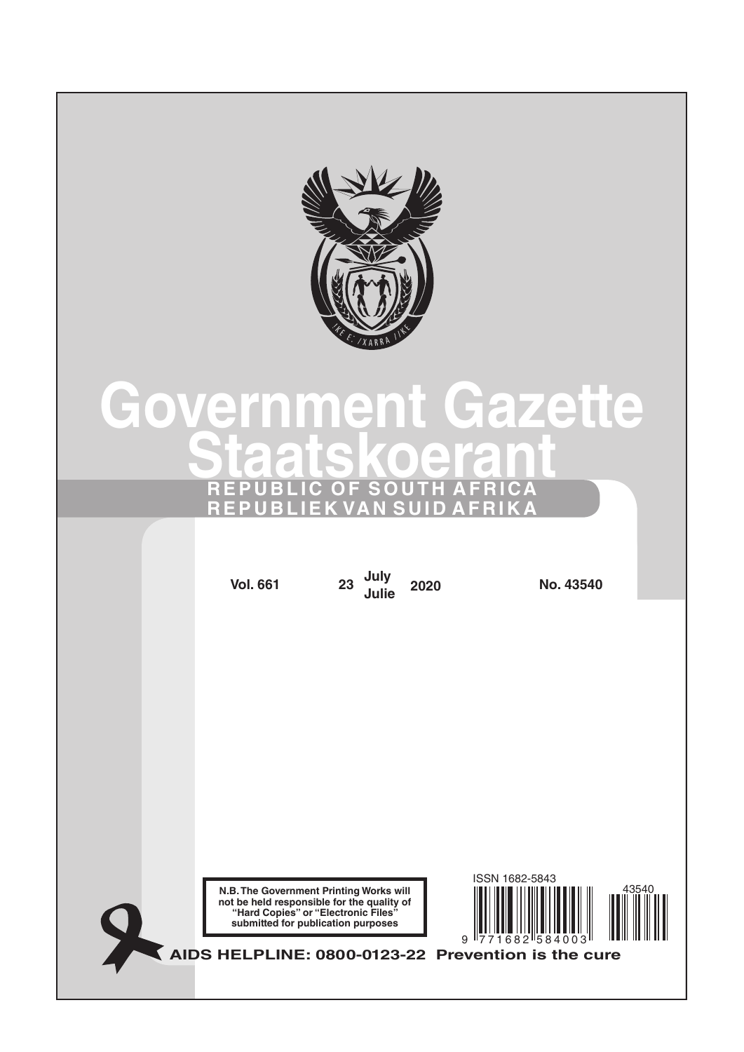

# **Government Gazette Staatskoerant REPUBLIC OF SOUTH AFRICA REPUBLIEK VAN SUID AFRIKA**

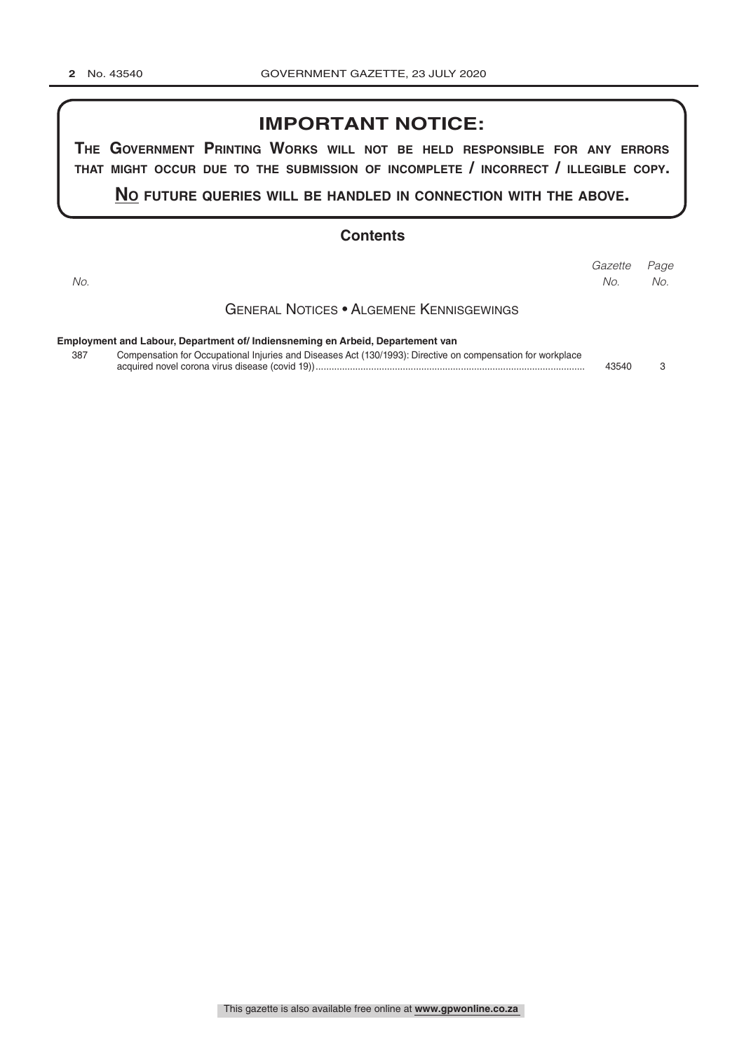## **IMPORTANT NOTICE:**

**The GovernmenT PrinTinG Works Will noT be held resPonsible for any errors ThaT miGhT occur due To The submission of incomPleTe / incorrecT / illeGible coPy.**

**no fuTure queries Will be handled in connecTion WiTh The above.**

## **Contents**

| No. |                                                                                                             | Gazette<br>No. | Page<br>No. |
|-----|-------------------------------------------------------------------------------------------------------------|----------------|-------------|
|     | <b>GENERAL NOTICES • ALGEMENE KENNISGEWINGS</b>                                                             |                |             |
|     | Employment and Labour, Department of/ Indiensneming en Arbeid, Departement van                              |                |             |
| 387 | Compensation for Occupational Injuries and Diseases Act (130/1993): Directive on compensation for workplace | 43540          | З           |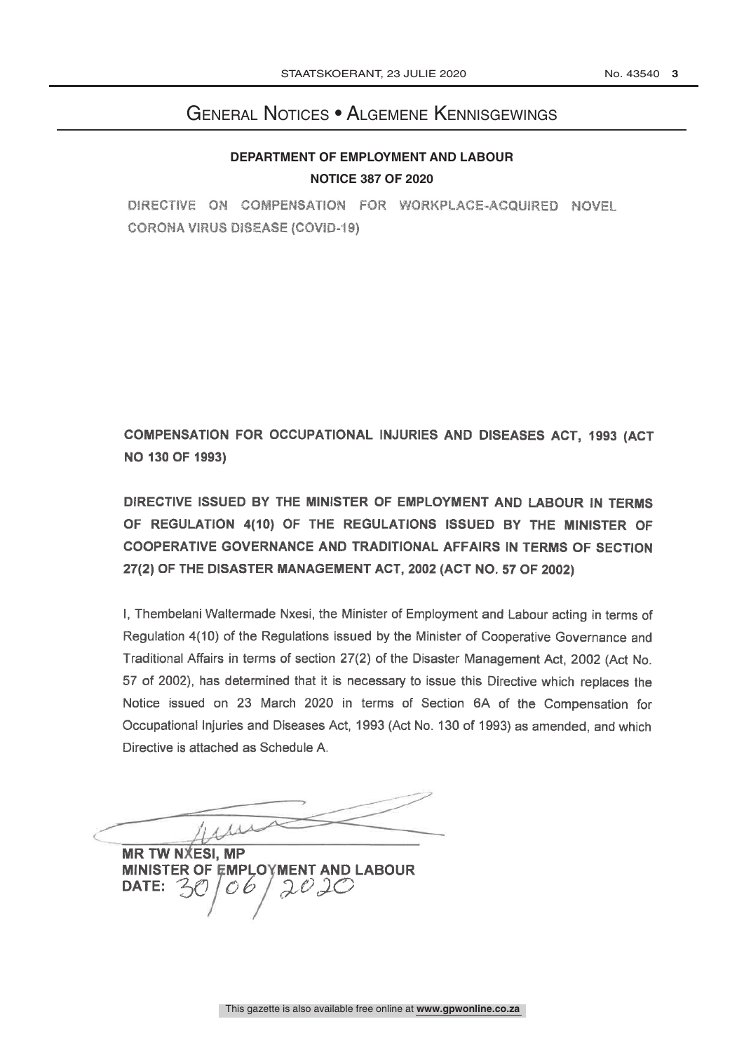## General Notices • Algemene Kennisgewings

## **DEPARTMENT OF EMPLOYMENT AND LABOUR NOTICE 387 OF 2020**

DIRECTIVE ON COMPENSATION FOR WORKPLACE-ACQUIRED NOVEL **CORONA VIRUS DISEASE (COVID-19)** 

COMPENSATION FOR OCCUPATIONAL INJURIES AND DISEASES ACT. 1993 (ACT **NO 130 OF 1993)** 

DIRECTIVE ISSUED BY THE MINISTER OF EMPLOYMENT AND LABOUR IN TERMS OF REGULATION 4(10) OF THE REGULATIONS ISSUED BY THE MINISTER OF COOPERATIVE GOVERNANCE AND TRADITIONAL AFFAIRS IN TERMS OF SECTION 27(2) OF THE DISASTER MANAGEMENT ACT, 2002 (ACT NO. 57 OF 2002)

I, Thembelani Waltermade Nxesi, the Minister of Employment and Labour acting in terms of Regulation 4(10) of the Regulations issued by the Minister of Cooperative Governance and Traditional Affairs in terms of section 27(2) of the Disaster Management Act, 2002 (Act No. 57 of 2002), has determined that it is necessary to issue this Directive which replaces the Notice issued on 23 March 2020 in terms of Section 6A of the Compensation for Occupational Injuries and Diseases Act, 1993 (Act No. 130 of 1993) as amended, and which Directive is attached as Schedule A.

His

**MR TW NXESI, MP** MINISTER OF EMPLOYMENT AND LABOUR  $2020$ **DATE:**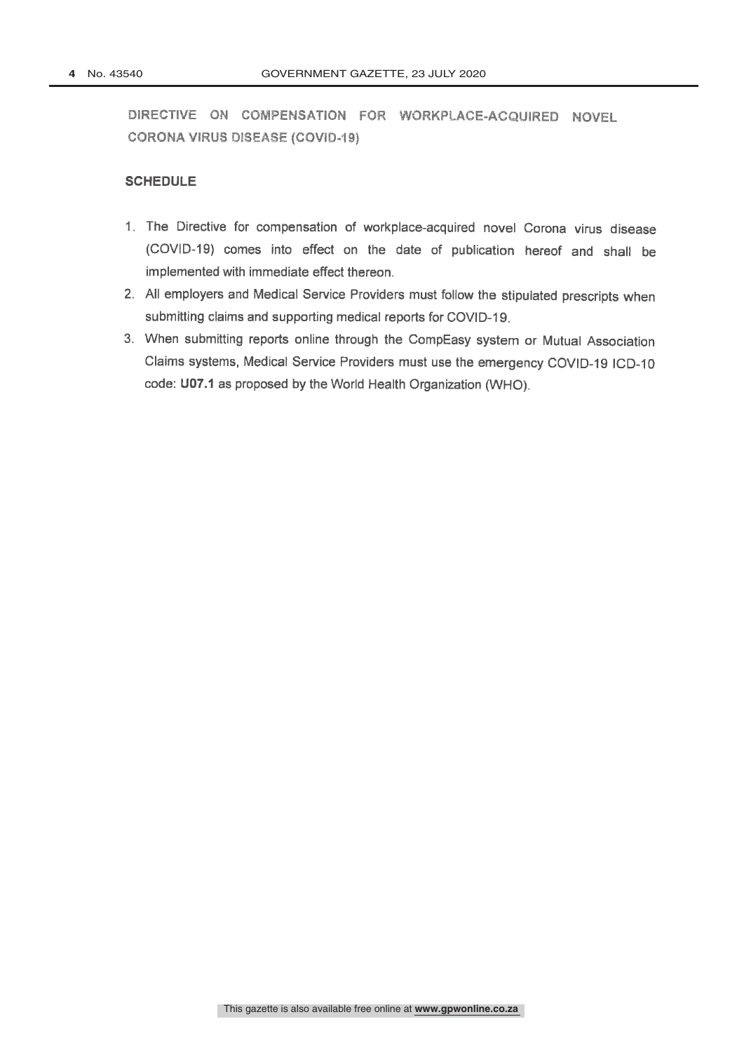## **SCHEDULE**

- 1. The Directive for compensation of workplace-acquired novel Corona virus disease (COVID-19) comes into effect on the date of publication hereof and shall be implemented with immediate effect thereon.
- 2. All employers and Medical Service Providers must follow the stipulated prescripts when submitting claims and supporting medical reports for COVID-19.
- 3. When submitting reports online through the CompEasy system or Mutual Association Claims systems, Medical Service Providers must use the emergency COVID-19 ICD-10 code: U07.1 as proposed by the World Health Organization (WHO).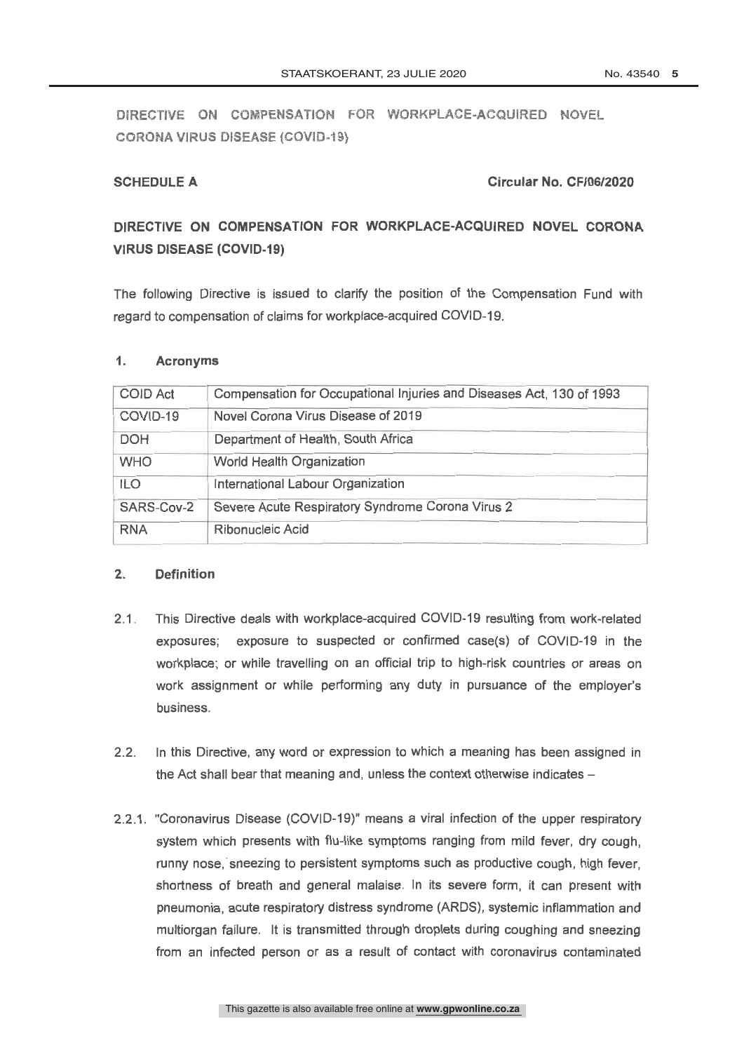## **SCHEDULE A**

## Circular No. CF/06/2020

## DIRECTIVE ON COMPENSATION FOR WORKPLACE-ACQUIRED NOVEL CORONA **VIRUS DISEASE (COVID-19)**

The following Directive is issued to clarify the position of the Compensation Fund with regard to compensation of claims for workplace-acquired COVID-19.

#### $1.$ **Acronyms**

| <b>COID Act</b> | Compensation for Occupational Injuries and Diseases Act, 130 of 1993 |
|-----------------|----------------------------------------------------------------------|
| COVID-19        | Novel Corona Virus Disease of 2019                                   |
| <b>DOH</b>      | Department of Health, South Africa                                   |
| <b>WHO</b>      | World Health Organization                                            |
| <b>ILO</b>      | International Labour Organization                                    |
| SARS-Cov-2      | Severe Acute Respiratory Syndrome Corona Virus 2                     |
| <b>RNA</b>      | Ribonucleic Acid                                                     |

#### $\overline{2}$ **Definition**

- 2.1 This Directive deals with workplace-acquired COVID-19 resulting from work-related exposures; exposure to suspected or confirmed case(s) of COVID-19 in the workplace; or while travelling on an official trip to high-risk countries or areas on work assignment or while performing any duty in pursuance of the employer's business.
- In this Directive, any word or expression to which a meaning has been assigned in  $2.2.$ the Act shall bear that meaning and, unless the context otherwise indicates -
- 2.2.1. "Coronavirus Disease (COVID-19)" means a viral infection of the upper respiratory system which presents with flu-like symptoms ranging from mild fever, dry cough, runny nose, sneezing to persistent symptoms such as productive cough, high fever. shortness of breath and general malaise. In its severe form, it can present with pneumonia, acute respiratory distress syndrome (ARDS), systemic inflammation and multiorgan failure. It is transmitted through droplets during coughing and sneezing from an infected person or as a result of contact with coronavirus contaminated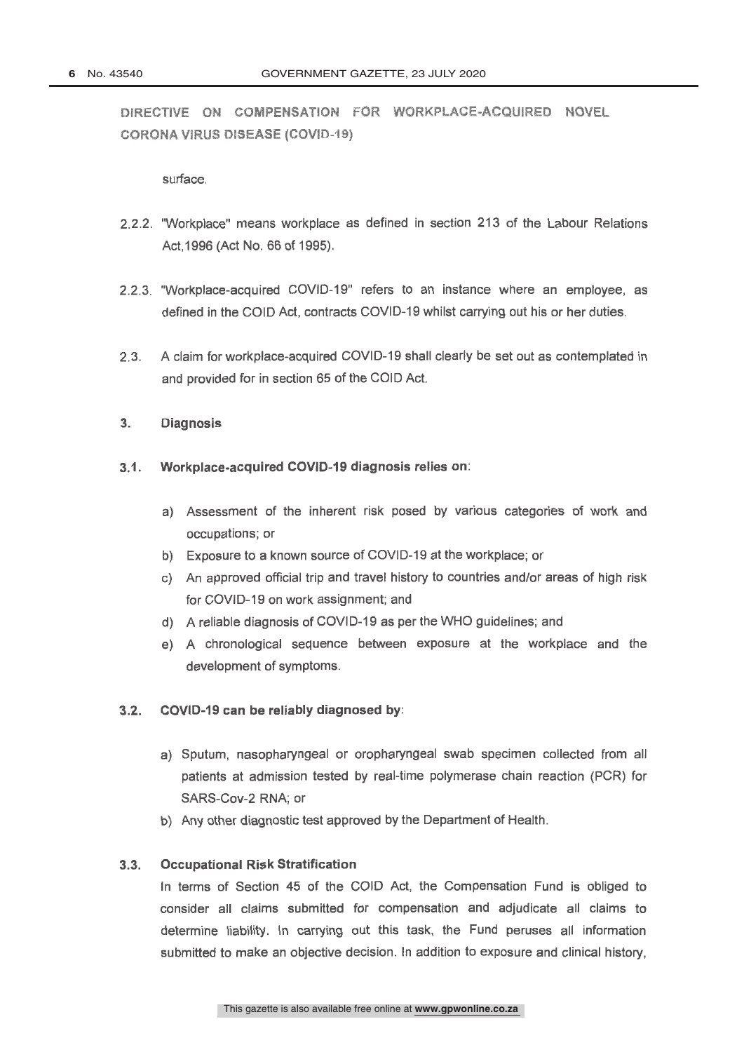## surface.

- 2.2.2. "Workplace" means workplace as defined in section 213 of the Labour Relations Act. 1996 (Act No. 66 of 1995).
- 2.2.3. "Workplace-acquired COVID-19" refers to an instance where an employee, as defined in the COID Act, contracts COVID-19 whilst carrying out his or her duties.
- $2.3.$ A claim for workplace-acquired COVID-19 shall clearly be set out as contemplated in and provided for in section 65 of the COID Act.

#### $3<sub>1</sub>$ **Diagnosis**

- Workplace-acquired COVID-19 diagnosis relies on:  $3.1.$ 
	- a) Assessment of the inherent risk posed by various categories of work and occupations; or
	- b) Exposure to a known source of COVID-19 at the workplace; or
	- c) An approved official trip and travel history to countries and/or areas of high risk for COVID-19 on work assignment; and
	- d) A reliable diagnosis of COVID-19 as per the WHO guidelines; and
	- e) A chronological sequence between exposure at the workplace and the development of symptoms.

#### COVID-19 can be reliably diagnosed by:  $3.2.$

- a) Sputum, nasopharyngeal or oropharyngeal swab specimen collected from all patients at admission tested by real-time polymerase chain reaction (PCR) for SARS-Cov-2 RNA; or
- b) Any other diagnostic test approved by the Department of Health.

#### $3.3.$ **Occupational Risk Stratification**

In terms of Section 45 of the COID Act, the Compensation Fund is obliged to consider all claims submitted for compensation and adjudicate all claims to determine liability. In carrying out this task, the Fund peruses all information submitted to make an objective decision. In addition to exposure and clinical history.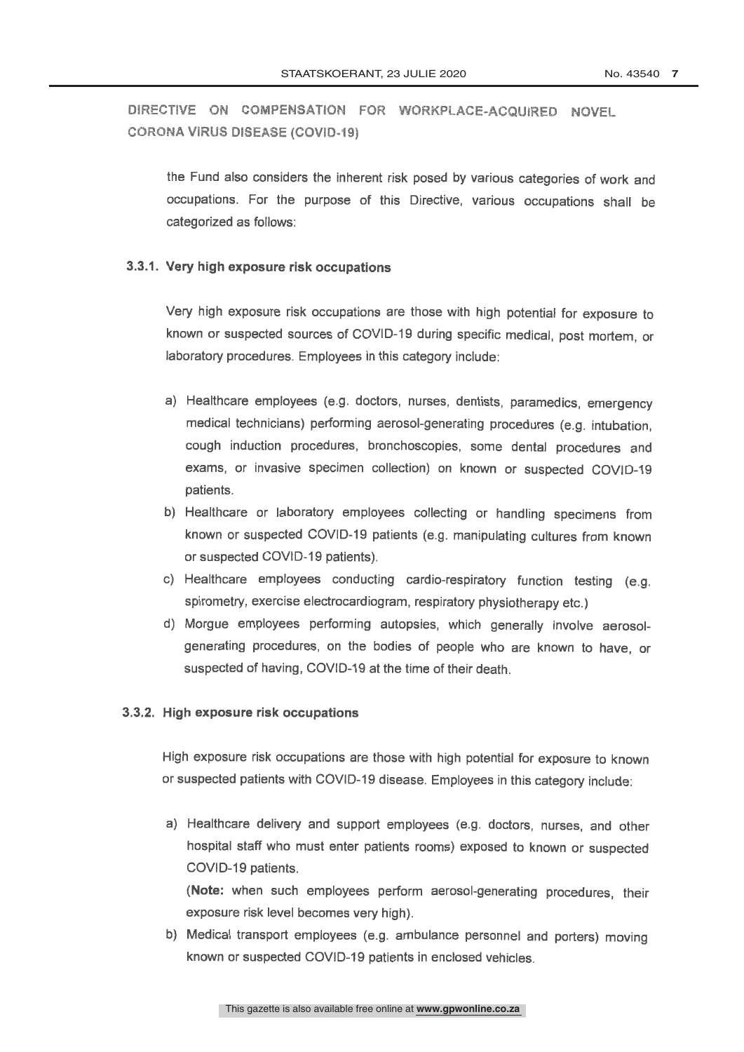the Fund also considers the inherent risk posed by various categories of work and occupations. For the purpose of this Directive, various occupations shall be categorized as follows:

## 3.3.1. Very high exposure risk occupations

Very high exposure risk occupations are those with high potential for exposure to known or suspected sources of COVID-19 during specific medical, post mortem, or laboratory procedures. Employees in this category include:

- a) Healthcare employees (e.g. doctors, nurses, dentists, paramedics, emergency medical technicians) performing aerosol-generating procedures (e.g. intubation. cough induction procedures, bronchoscopies, some dental procedures and exams, or invasive specimen collection) on known or suspected COVID-19 patients.
- b) Healthcare or laboratory employees collecting or handling specimens from known or suspected COVID-19 patients (e.g. manipulating cultures from known or suspected COVID-19 patients).
- c) Healthcare employees conducting cardio-respiratory function testing (e.g. spirometry, exercise electrocardiogram, respiratory physiotherapy etc.)
- d) Morgue employees performing autopsies, which generally involve aerosolgenerating procedures, on the bodies of people who are known to have, or suspected of having, COVID-19 at the time of their death.

### 3.3.2. High exposure risk occupations

High exposure risk occupations are those with high potential for exposure to known or suspected patients with COVID-19 disease. Employees in this category include:

a) Healthcare delivery and support employees (e.g. doctors, nurses, and other hospital staff who must enter patients rooms) exposed to known or suspected COVID-19 patients.

(Note: when such employees perform aerosol-generating procedures, their exposure risk level becomes very high).

b) Medical transport employees (e.g. ambulance personnel and porters) moving known or suspected COVID-19 patients in enclosed vehicles.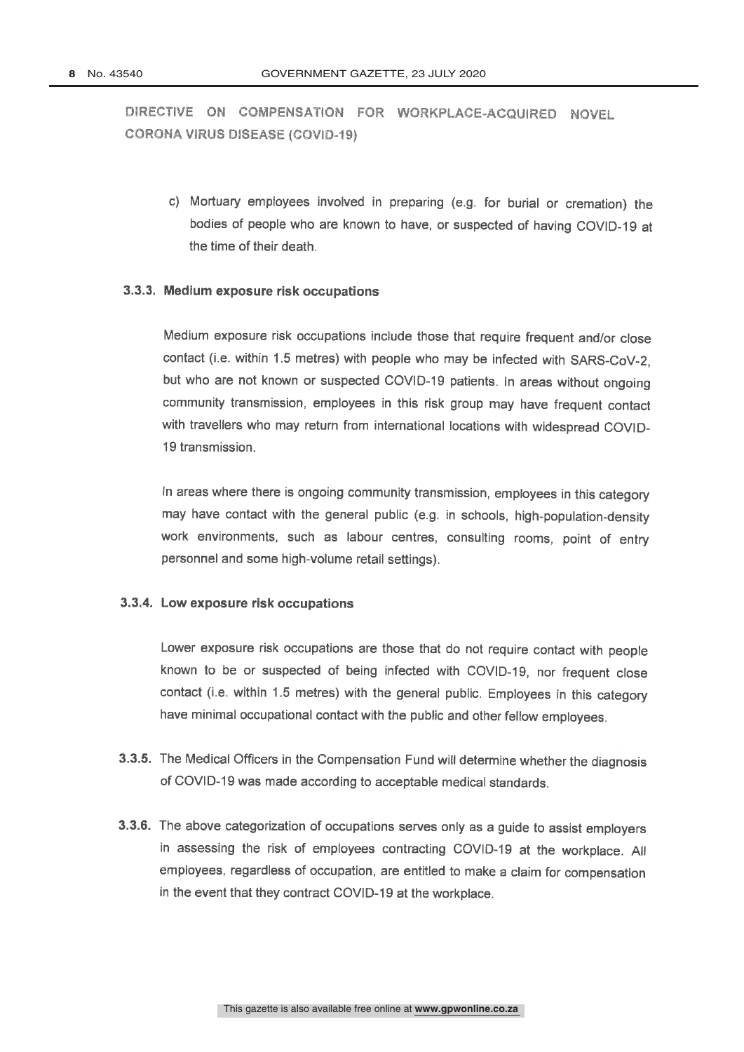c) Mortuary employees involved in preparing (e.g. for burial or cremation) the bodies of people who are known to have, or suspected of having COVID-19 at the time of their death.

### 3.3.3. Medium exposure risk occupations

Medium exposure risk occupations include those that require frequent and/or close contact (i.e. within 1.5 metres) with people who may be infected with SARS-CoV-2. but who are not known or suspected COVID-19 patients. In areas without ongoing community transmission, employees in this risk group may have frequent contact with travellers who may return from international locations with widespread COVID-19 transmission

In areas where there is ongoing community transmission, employees in this category may have contact with the general public (e.g. in schools, high-population-density work environments, such as labour centres, consulting rooms, point of entry personnel and some high-volume retail settings).

### 3.3.4. Low exposure risk occupations

Lower exposure risk occupations are those that do not require contact with people known to be or suspected of being infected with COVID-19, nor frequent close contact (i.e. within 1.5 metres) with the general public. Employees in this category have minimal occupational contact with the public and other fellow employees.

- 3.3.5. The Medical Officers in the Compensation Fund will determine whether the diagnosis of COVID-19 was made according to acceptable medical standards.
- 3.3.6. The above categorization of occupations serves only as a guide to assist employers in assessing the risk of employees contracting COVID-19 at the workplace. All employees, regardless of occupation, are entitled to make a claim for compensation in the event that they contract COVID-19 at the workplace.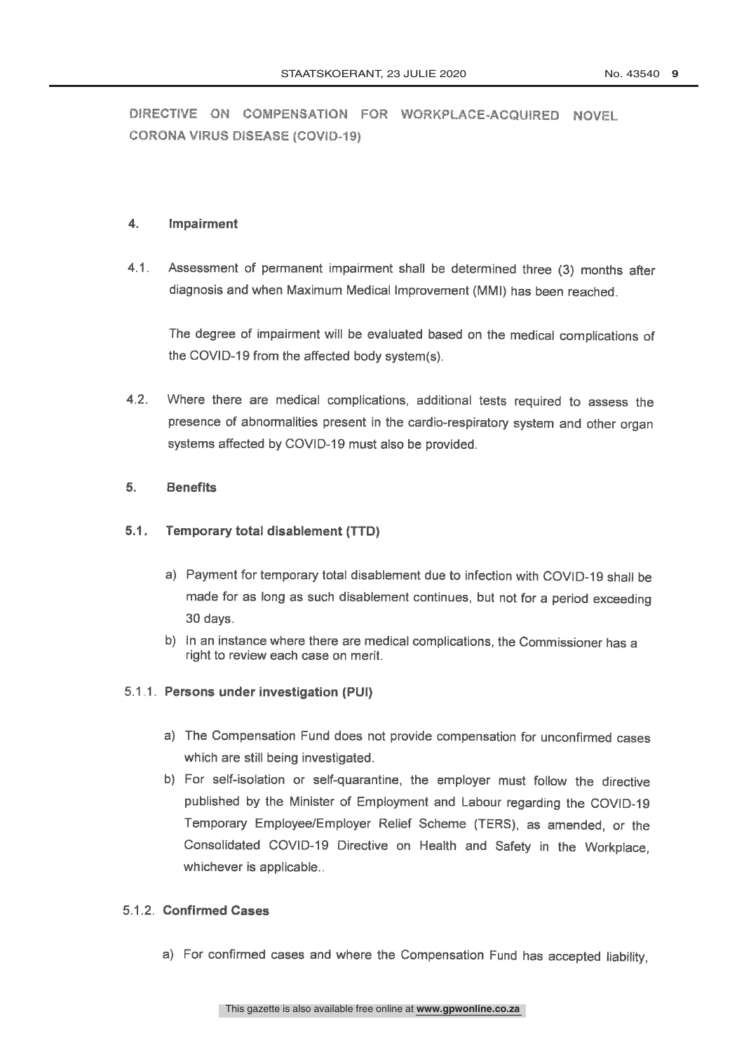#### $\overline{4}$ . **Impairment**

 $4.1.$ Assessment of permanent impairment shall be determined three (3) months after diagnosis and when Maximum Medical Improvement (MMI) has been reached.

The degree of impairment will be evaluated based on the medical complications of the COVID-19 from the affected body system(s).

Where there are medical complications, additional tests required to assess the  $4.2.$ presence of abnormalities present in the cardio-respiratory system and other organ systems affected by COVID-19 must also be provided.

#### 5. **Benefits**

#### $5.1.$ Temporary total disablement (TTD)

- a) Payment for temporary total disablement due to infection with COVID-19 shall be made for as long as such disablement continues, but not for a period exceeding 30 days.
- b) In an instance where there are medical complications, the Commissioner has a right to review each case on merit.

## 5.1.1. Persons under investigation (PUI)

- a) The Compensation Fund does not provide compensation for unconfirmed cases which are still being investigated.
- b) For self-isolation or self-quarantine, the employer must follow the directive published by the Minister of Employment and Labour regarding the COVID-19 Temporary Employee/Employer Relief Scheme (TERS), as amended, or the Consolidated COVID-19 Directive on Health and Safety in the Workplace, whichever is applicable..

## 5.1.2. Confirmed Cases

a) For confirmed cases and where the Compensation Fund has accepted liability,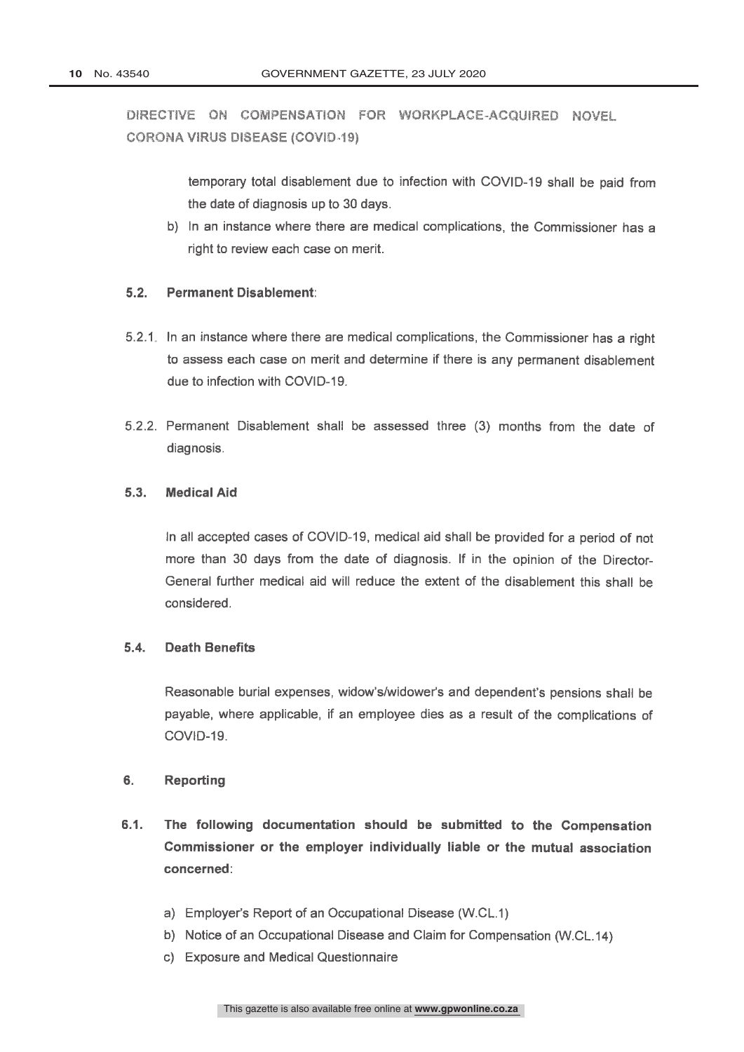> temporary total disablement due to infection with COVID-19 shall be paid from the date of diagnosis up to 30 days.

b) In an instance where there are medical complications, the Commissioner has a right to review each case on merit.

#### $5.2.$ **Permanent Disablement:**

- 5.2.1 In an instance where there are medical complications, the Commissioner has a right to assess each case on merit and determine if there is any permanent disablement due to infection with COVID-19.
- 5.2.2. Permanent Disablement shall be assessed three (3) months from the date of diagnosis.

#### $5.3.$ **Medical Aid**

In all accepted cases of COVID-19, medical aid shall be provided for a period of not more than 30 days from the date of diagnosis. If in the opinion of the Director-General further medical aid will reduce the extent of the disablement this shall be considered.

#### **Death Benefits**  $5.4.$

Reasonable burial expenses, widow's/widower's and dependent's pensions shall be payable, where applicable, if an employee dies as a result of the complications of COVID-19.

#### $6.$ **Reporting**

- $6.1.$ The following documentation should be submitted to the Compensation Commissioner or the employer individually liable or the mutual association concerned:
	- a) Employer's Report of an Occupational Disease (W.CL.1)
	- b) Notice of an Occupational Disease and Claim for Compensation (W.CL.14)
	- c) Exposure and Medical Questionnaire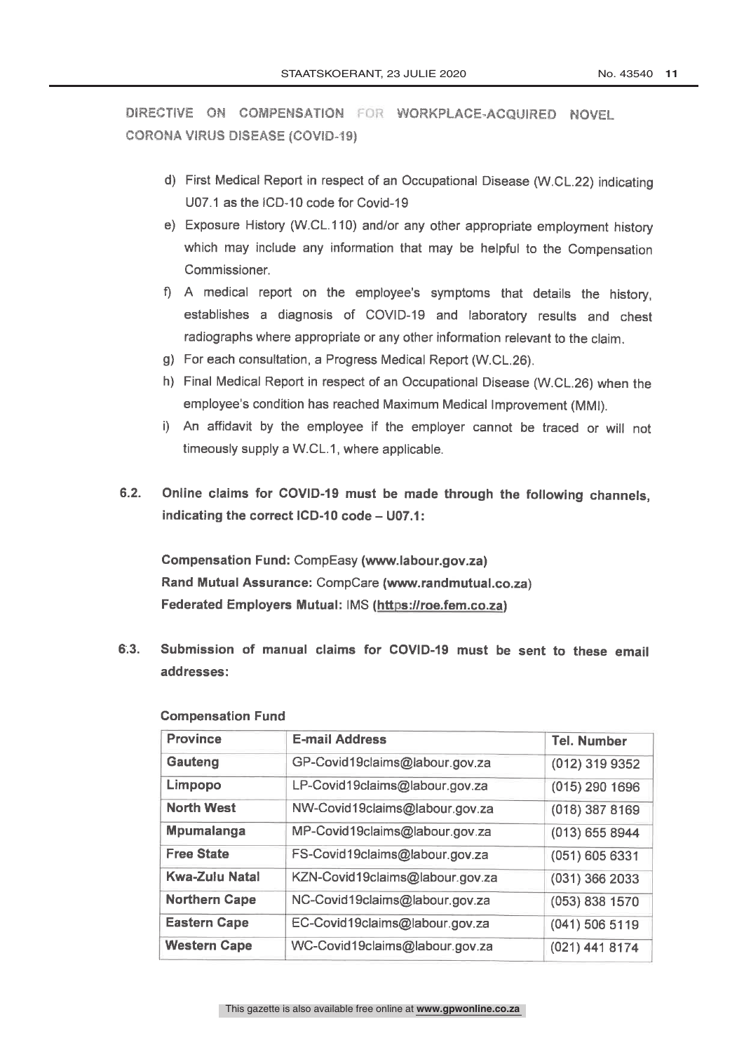- d) First Medical Report in respect of an Occupational Disease (W.CL.22) indicating U07.1 as the ICD-10 code for Covid-19
- e) Exposure History (W.CL.110) and/or any other appropriate employment history which may include any information that may be helpful to the Compensation Commissioner
- f) A medical report on the employee's symptoms that details the history, establishes a diagnosis of COVID-19 and laboratory results and chest radiographs where appropriate or any other information relevant to the claim.
- g) For each consultation, a Progress Medical Report (W.CL.26).
- h) Final Medical Report in respect of an Occupational Disease (W.CL.26) when the employee's condition has reached Maximum Medical Improvement (MMI).
- i) An affidavit by the employee if the employer cannot be traced or will not timeously supply a W.CL.1, where applicable.
- $6.2.$ Online claims for COVID-19 must be made through the following channels. indicating the correct ICD-10 code - U07.1:

Compensation Fund: CompEasy (www.labour.gov.za) Rand Mutual Assurance: CompCare (www.randmutual.co.za) Federated Employers Mutual: IMS (https://roe.fem.co.za)

Submission of manual claims for COVID-19 must be sent to these email  $6:3.$ addresses:

| <b>Province</b>       | <b>E-mail Address</b>           | <b>Tel. Number</b> |
|-----------------------|---------------------------------|--------------------|
| <b>Gauteng</b>        | GP-Covid19claims@labour.gov.za  | (012) 319 9352     |
| Limpopo               | LP-Covid19claims@labour.gov.za  | $(015)$ 290 1696   |
| <b>North West</b>     | NW-Covid19claims@labour.gov.za  | $(018)$ 387 8169   |
| Mpumalanga            | MP-Covid19claims@labour.gov.za  | (013) 655 8944     |
| <b>Free State</b>     | FS-Covid19claims@labour.gov.za  | (051) 605 6331     |
| <b>Kwa-Zulu Natal</b> | KZN-Covid19claims@labour.gov.za | (031) 366 2033     |
| <b>Northern Cape</b>  | NC-Covid19claims@labour.gov.za  | (053) 838 1570     |
| <b>Eastern Cape</b>   | EC-Covid19claims@labour.gov.za  | $(041)$ 506 5119   |
| <b>Western Cape</b>   | WC-Covid19claims@labour.gov.za  | (021) 441 8174     |

### **Compensation Fund**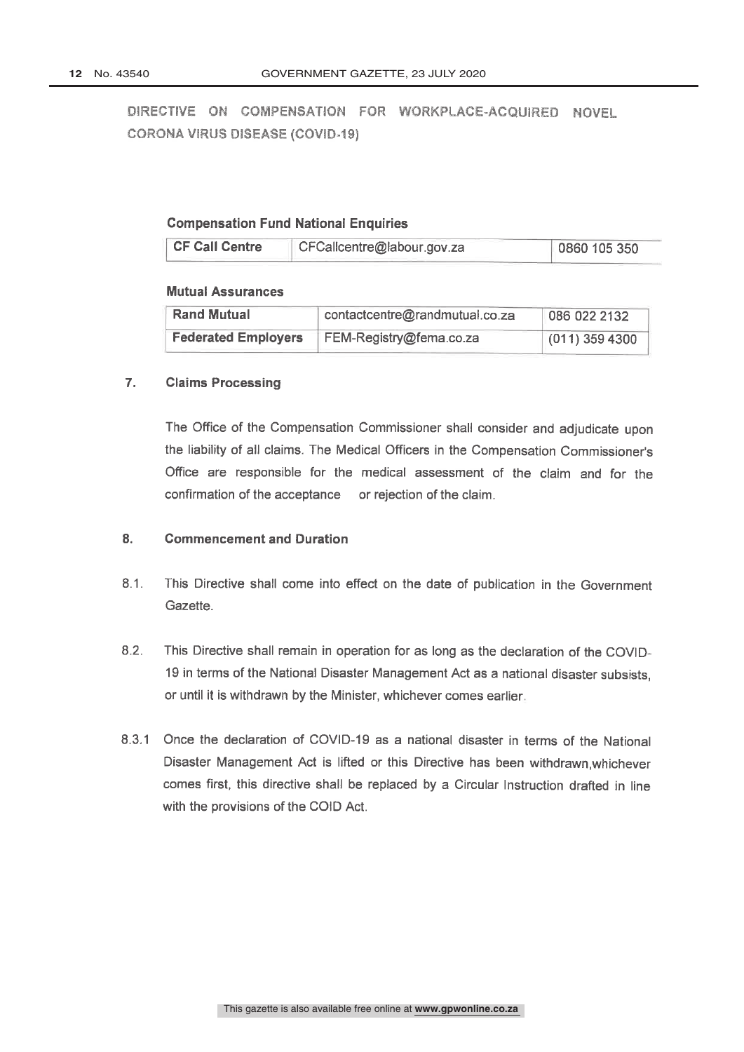## **Compensation Fund National Enquiries**

| <b>CF Call Centre</b> | CFCallcentre@labour.gov.za | 0860 105 350 |
|-----------------------|----------------------------|--------------|
|-----------------------|----------------------------|--------------|

### **Mutual Assurances**

| <b>Rand Mutual</b>         | contactcentre@randmutual.co.za | 086 022 2132     |
|----------------------------|--------------------------------|------------------|
| <b>Federated Employers</b> | FEM-Registry@fema.co.za        | $(011)$ 359 4300 |

#### $\mathbf{7}$ . **Claims Processing**

The Office of the Compensation Commissioner shall consider and adjudicate upon the liability of all claims. The Medical Officers in the Compensation Commissioner's Office are responsible for the medical assessment of the claim and for the confirmation of the acceptance or rejection of the claim.

#### $\overline{\mathbf{8}}$ . **Commencement and Duration**

- $8.1.$ This Directive shall come into effect on the date of publication in the Government Gazette.
- This Directive shall remain in operation for as long as the declaration of the COVID- $8.2.$ 19 in terms of the National Disaster Management Act as a national disaster subsists, or until it is withdrawn by the Minister, whichever comes earlier.
- 8.3.1 Once the declaration of COVID-19 as a national disaster in terms of the National Disaster Management Act is lifted or this Directive has been withdrawn.whichever comes first, this directive shall be replaced by a Circular Instruction drafted in line with the provisions of the COID Act.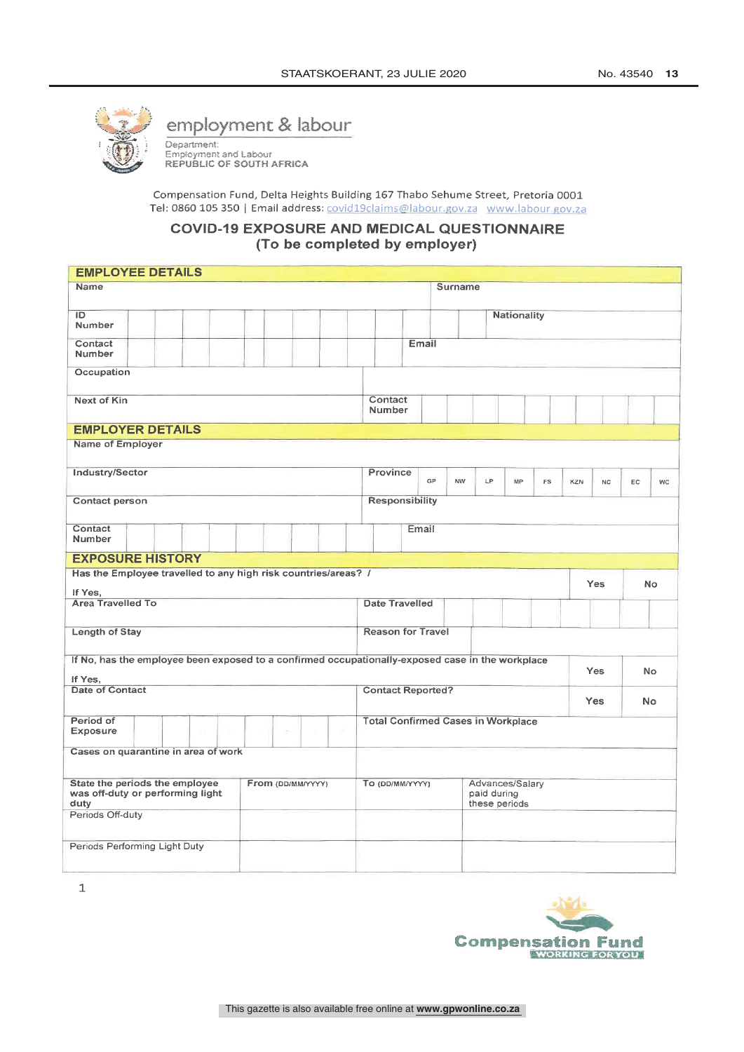

## employment & labour

Department:<br>Employment and Labour<br>REPUBLIC OF SOUTH AFRICA

Compensation Fund, Delta Heights Building 167 Thabo Sehume Street, Pretoria 0001 Tel: 0860 105 350 | Email address: covid19claims@labour.gov.za www.labour.gov.za

## **COVID-19 EXPOSURE AND MEDICAL QUESTIONNAIRE** (To be completed by employer)

| <b>EMPLOYEE DETAILS</b>                                                                          |                                                                     |           |  |  |  |
|--------------------------------------------------------------------------------------------------|---------------------------------------------------------------------|-----------|--|--|--|
| Name                                                                                             | <b>Surname</b>                                                      |           |  |  |  |
| ID                                                                                               | Nationality                                                         |           |  |  |  |
| Number                                                                                           |                                                                     |           |  |  |  |
| Contact<br>Number                                                                                | Email                                                               |           |  |  |  |
| Occupation                                                                                       |                                                                     |           |  |  |  |
| <b>Next of Kin</b>                                                                               | Contact<br>Number                                                   |           |  |  |  |
| <b>EMPLOYER DETAILS</b>                                                                          |                                                                     |           |  |  |  |
| Name of Employer                                                                                 |                                                                     |           |  |  |  |
| Industry/Sector                                                                                  | Province<br>GP<br><b>NW</b><br>LP.<br>MP<br><b>FS</b><br>KZN<br>NC. | EC.<br>WC |  |  |  |
| Contact person                                                                                   | <b>Responsibility</b>                                               |           |  |  |  |
|                                                                                                  |                                                                     |           |  |  |  |
| Contact<br>Number                                                                                | Email                                                               |           |  |  |  |
| <b>EXPOSURE HISTORY</b>                                                                          |                                                                     |           |  |  |  |
| Has the Employee travelled to any high risk countries/areas? /<br>If Yes.                        | Yes                                                                 | No.       |  |  |  |
| <b>Area Travelled To</b>                                                                         | <b>Date Travelled</b>                                               |           |  |  |  |
| Length of Stay                                                                                   | <b>Reason for Travel</b>                                            |           |  |  |  |
| If No, has the employee been exposed to a confirmed occupationally-exposed case in the workplace | <b>Yes</b>                                                          | <b>No</b> |  |  |  |
| If Yes.<br>Date of Contact                                                                       | <b>Contact Reported?</b>                                            |           |  |  |  |
|                                                                                                  | <b>Yes</b><br>No.                                                   |           |  |  |  |
| Period of<br><b>Total Confirmed Cases in Workplace</b><br>Exposure<br>m<br>÷                     |                                                                     |           |  |  |  |
| Cases on quarantine in area of work                                                              |                                                                     |           |  |  |  |
| State the periods the employee<br>From (DD/MM/YYYY)<br>was off-duty or performing light<br>duty  | To (DD/MM/YYYY)<br>Advances/Salary<br>paid during<br>these periods  |           |  |  |  |
| Periods Off-duty                                                                                 |                                                                     |           |  |  |  |
| Periods Performing Light Duty                                                                    |                                                                     |           |  |  |  |

 $\mathbf{1}$ 

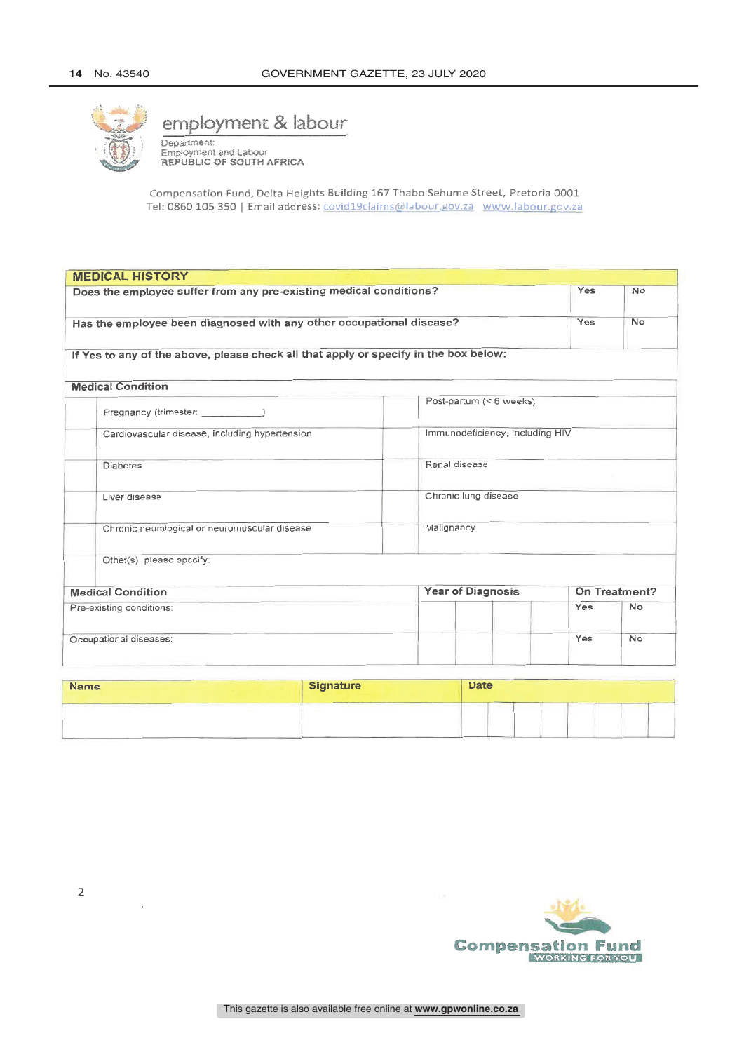

## employment & labour

Department:<br>Employment and Labour REPUBLIC OF SOUTH AFRICA

Compensation Fund, Delta Heights Building 167 Thabo Sehume Street, Pretoria 0001 Tel: 0860 105 350 | Email address: covid19claims@labour.gov.za www.labour.gov.za

|                                                                           | <b>MEDICAL HISTORY</b>                                                               |                                 |               |           |  |
|---------------------------------------------------------------------------|--------------------------------------------------------------------------------------|---------------------------------|---------------|-----------|--|
| Does the employee suffer from any pre-existing medical conditions?<br>Yes |                                                                                      |                                 |               | <b>No</b> |  |
|                                                                           | Has the employee been diagnosed with any other occupational disease?                 |                                 |               |           |  |
|                                                                           | If Yes to any of the above, please check all that apply or specify in the box below: |                                 |               |           |  |
|                                                                           | <b>Medical Condition</b>                                                             |                                 |               |           |  |
|                                                                           |                                                                                      | Post-partum (< 6 weeks)         |               |           |  |
|                                                                           | Cardiovascular disease, including hypertension                                       | Immunodeficiency, including HIV |               |           |  |
|                                                                           | <b>Diabetes</b>                                                                      | Renal disease                   |               |           |  |
|                                                                           | Liver disease                                                                        | Chronic lung disease            |               |           |  |
|                                                                           | Chronic neurological or neuromuscular disease                                        | Malignancy                      |               |           |  |
|                                                                           | Other(s), please specify:                                                            |                                 |               |           |  |
| <b>Medical Condition</b>                                                  |                                                                                      | <b>Year of Diagnosis</b>        | On Treatment? |           |  |
|                                                                           | Pre-existing conditions:                                                             |                                 | Yes           | No        |  |
|                                                                           | Occupational diseases:                                                               |                                 | Yes           | No        |  |

| <b>Name</b>                                  | Signature | <b>Date</b> |
|----------------------------------------------|-----------|-------------|
| the control of the control of the control of | _____     |             |

 $\overline{2}$